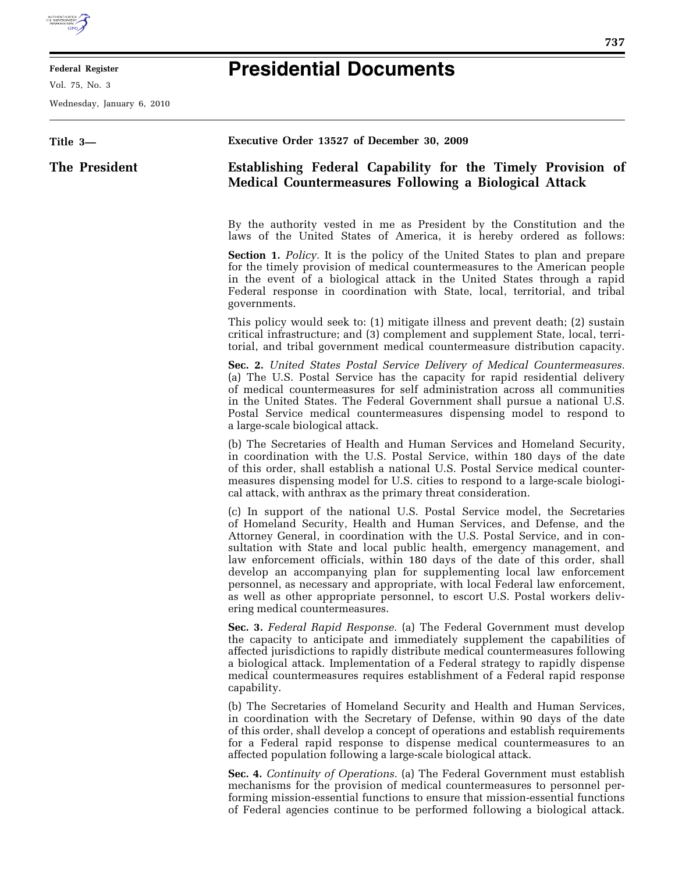

## **Federal Register**

Vol. 75, No. 3

Wednesday, January 6, 2010

| Title 3—      | Executive Order 13527 of December 30, 2009                                                                                                                                                                                                                                                                                                                                                                                                                                                                                                                                                                                                                            |
|---------------|-----------------------------------------------------------------------------------------------------------------------------------------------------------------------------------------------------------------------------------------------------------------------------------------------------------------------------------------------------------------------------------------------------------------------------------------------------------------------------------------------------------------------------------------------------------------------------------------------------------------------------------------------------------------------|
| The President | <b>Establishing Federal Capability for the Timely Provision of</b><br><b>Medical Countermeasures Following a Biological Attack</b>                                                                                                                                                                                                                                                                                                                                                                                                                                                                                                                                    |
|               | By the authority vested in me as President by the Constitution and the<br>laws of the United States of America, it is hereby ordered as follows:                                                                                                                                                                                                                                                                                                                                                                                                                                                                                                                      |
|               | <b>Section 1.</b> Policy. It is the policy of the United States to plan and prepare<br>for the timely provision of medical countermeasures to the American people<br>in the event of a biological attack in the United States through a rapid<br>Federal response in coordination with State, local, territorial, and tribal<br>governments.                                                                                                                                                                                                                                                                                                                          |
|               | This policy would seek to: (1) mitigate illness and prevent death; (2) sustain<br>critical infrastructure; and (3) complement and supplement State, local, terri-<br>torial, and tribal government medical countermeasure distribution capacity.                                                                                                                                                                                                                                                                                                                                                                                                                      |
|               | Sec. 2. United States Postal Service Delivery of Medical Countermeasures.<br>(a) The U.S. Postal Service has the capacity for rapid residential delivery<br>of medical countermeasures for self administration across all communities<br>in the United States. The Federal Government shall pursue a national U.S.<br>Postal Service medical countermeasures dispensing model to respond to<br>a large-scale biological attack.                                                                                                                                                                                                                                       |
|               | (b) The Secretaries of Health and Human Services and Homeland Security,<br>in coordination with the U.S. Postal Service, within 180 days of the date<br>of this order, shall establish a national U.S. Postal Service medical counter-<br>measures dispensing model for U.S. cities to respond to a large-scale biologi-<br>cal attack, with anthrax as the primary threat consideration.                                                                                                                                                                                                                                                                             |
|               | (c) In support of the national U.S. Postal Service model, the Secretaries<br>of Homeland Security, Health and Human Services, and Defense, and the<br>Attorney General, in coordination with the U.S. Postal Service, and in con-<br>sultation with State and local public health, emergency management, and<br>law enforcement officials, within 180 days of the date of this order, shall<br>develop an accompanying plan for supplementing local law enforcement<br>personnel, as necessary and appropriate, with local Federal law enforcement,<br>as well as other appropriate personnel, to escort U.S. Postal workers deliv-<br>ering medical countermeasures. |
|               | Sec. 3. Federal Rapid Response. (a) The Federal Government must develop<br>the capacity to anticipate and immediately supplement the capabilities of<br>affected jurisdictions to rapidly distribute medical countermeasures following<br>a biological attack. Implementation of a Federal strategy to rapidly dispense<br>medical countermeasures requires establishment of a Federal rapid response<br>capability.                                                                                                                                                                                                                                                  |
|               | (b) The Secretaries of Homeland Security and Health and Human Services,<br>in coordination with the Secretary of Defense, within 90 days of the date<br>of this order, shall develop a concept of operations and establish requirements<br>for a Federal rapid response to dispense medical countermeasures to an<br>affected population following a large-scale biological attack.                                                                                                                                                                                                                                                                                   |
|               | Sec. 4. Continuity of Operations. (a) The Federal Government must establish<br>mechanisms for the provision of medical countermeasures to personnel per-<br>forming mission-essential functions to ensure that mission-essential functions<br>of Federal agencies continue to be performed following a biological attack.                                                                                                                                                                                                                                                                                                                                             |

## **Presidential Documents**